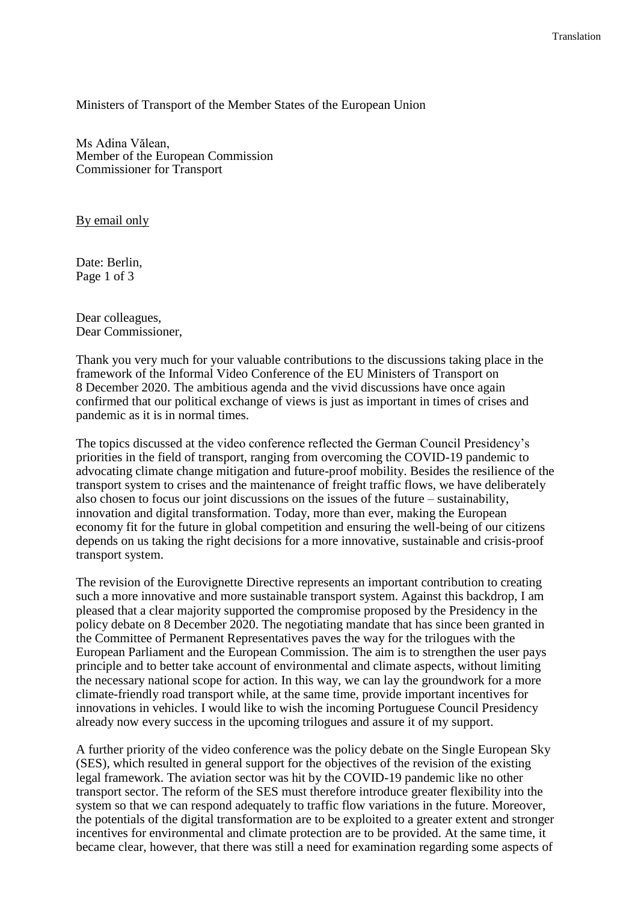Ministers of Transport of the Member States of the European Union

Ms Adina Vălean, Member of the European Commission Commissioner for Transport

By email only

Date: Berlin, Page 1 of 3

Dear colleagues, Dear Commissioner,

Thank you very much for your valuable contributions to the discussions taking place in the framework of the Informal Video Conference of the EU Ministers of Transport on 8 December 2020. The ambitious agenda and the vivid discussions have once again confirmed that our political exchange of views is just as important in times of crises and pandemic as it is in normal times.

The topics discussed at the video conference reflected the German Council Presidency's priorities in the field of transport, ranging from overcoming the COVID-19 pandemic to advocating climate change mitigation and future-proof mobility. Besides the resilience of the transport system to crises and the maintenance of freight traffic flows, we have deliberately also chosen to focus our joint discussions on the issues of the future – sustainability, innovation and digital transformation. Today, more than ever, making the European economy fit for the future in global competition and ensuring the well-being of our citizens depends on us taking the right decisions for a more innovative, sustainable and crisis-proof transport system.

The revision of the Eurovignette Directive represents an important contribution to creating such a more innovative and more sustainable transport system. Against this backdrop, I am pleased that a clear majority supported the compromise proposed by the Presidency in the policy debate on 8 December 2020. The negotiating mandate that has since been granted in the Committee of Permanent Representatives paves the way for the trilogues with the European Parliament and the European Commission. The aim is to strengthen the user pays principle and to better take account of environmental and climate aspects, without limiting the necessary national scope for action. In this way, we can lay the groundwork for a more climate-friendly road transport while, at the same time, provide important incentives for innovations in vehicles. I would like to wish the incoming Portuguese Council Presidency already now every success in the upcoming trilogues and assure it of my support.

A further priority of the video conference was the policy debate on the Single European Sky (SES), which resulted in general support for the objectives of the revision of the existing legal framework. The aviation sector was hit by the COVID-19 pandemic like no other transport sector. The reform of the SES must therefore introduce greater flexibility into the system so that we can respond adequately to traffic flow variations in the future. Moreover, the potentials of the digital transformation are to be exploited to a greater extent and stronger incentives for environmental and climate protection are to be provided. At the same time, it became clear, however, that there was still a need for examination regarding some aspects of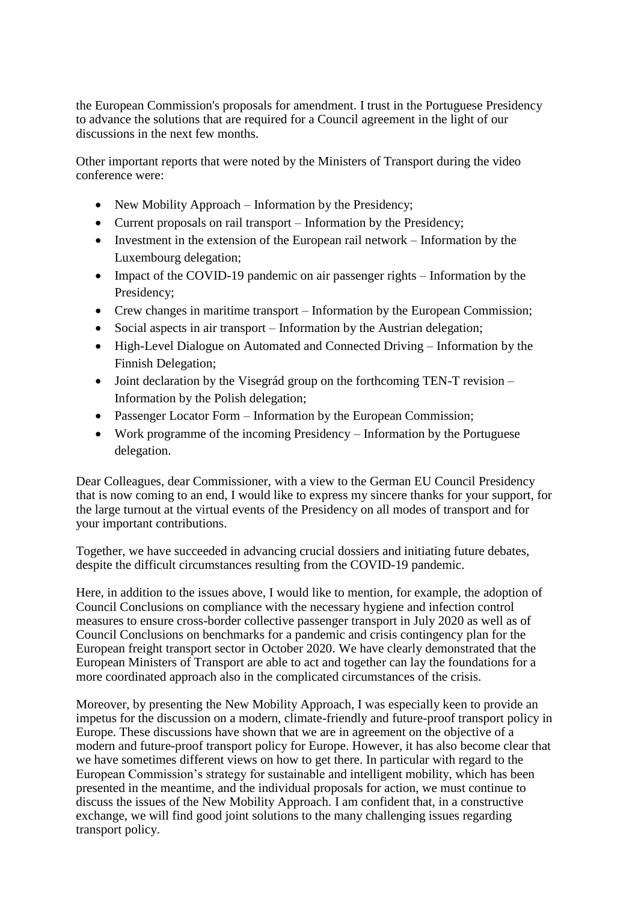the European Commission's proposals for amendment. I trust in the Portuguese Presidency to advance the solutions that are required for a Council agreement in the light of our discussions in the next few months.

Other important reports that were noted by the Ministers of Transport during the video conference were:

- New Mobility Approach Information by the Presidency;
- Current proposals on rail transport Information by the Presidency:
- Investment in the extension of the European rail network Information by the Luxembourg delegation;
- Impact of the COVID-19 pandemic on air passenger rights Information by the Presidency;
- Crew changes in maritime transport Information by the European Commission;
- Social aspects in air transport Information by the Austrian delegation;
- High-Level Dialogue on Automated and Connected Driving Information by the Finnish Delegation;
- Joint declaration by the Visegrád group on the forthcoming TEN-T revision Information by the Polish delegation;
- Passenger Locator Form Information by the European Commission;
- Work programme of the incoming Presidency Information by the Portuguese delegation.

Dear Colleagues, dear Commissioner, with a view to the German EU Council Presidency that is now coming to an end, I would like to express my sincere thanks for your support, for the large turnout at the virtual events of the Presidency on all modes of transport and for your important contributions.

Together, we have succeeded in advancing crucial dossiers and initiating future debates, despite the difficult circumstances resulting from the COVID-19 pandemic.

Here, in addition to the issues above, I would like to mention, for example, the adoption of Council Conclusions on compliance with the necessary hygiene and infection control measures to ensure cross-border collective passenger transport in July 2020 as well as of Council Conclusions on benchmarks for a pandemic and crisis contingency plan for the European freight transport sector in October 2020. We have clearly demonstrated that the European Ministers of Transport are able to act and together can lay the foundations for a more coordinated approach also in the complicated circumstances of the crisis.

Moreover, by presenting the New Mobility Approach, I was especially keen to provide an impetus for the discussion on a modern, climate-friendly and future-proof transport policy in Europe. These discussions have shown that we are in agreement on the objective of a modern and future-proof transport policy for Europe. However, it has also become clear that we have sometimes different views on how to get there. In particular with regard to the European Commission's strategy for sustainable and intelligent mobility, which has been presented in the meantime, and the individual proposals for action, we must continue to discuss the issues of the New Mobility Approach. I am confident that, in a constructive exchange, we will find good joint solutions to the many challenging issues regarding transport policy.